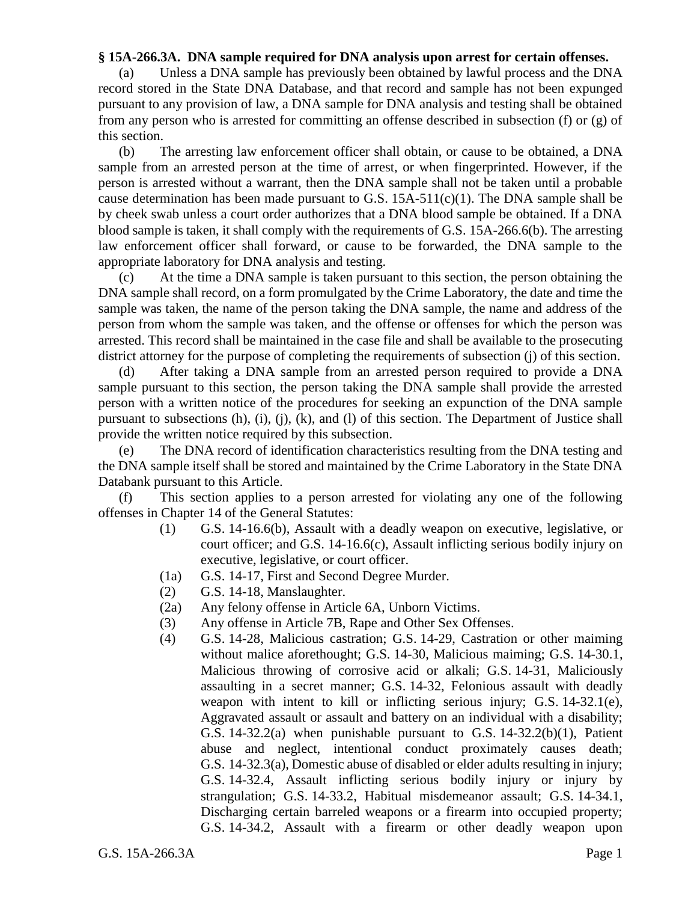## **§ 15A-266.3A. DNA sample required for DNA analysis upon arrest for certain offenses.**

(a) Unless a DNA sample has previously been obtained by lawful process and the DNA record stored in the State DNA Database, and that record and sample has not been expunged pursuant to any provision of law, a DNA sample for DNA analysis and testing shall be obtained from any person who is arrested for committing an offense described in subsection (f) or (g) of this section.

(b) The arresting law enforcement officer shall obtain, or cause to be obtained, a DNA sample from an arrested person at the time of arrest, or when fingerprinted. However, if the person is arrested without a warrant, then the DNA sample shall not be taken until a probable cause determination has been made pursuant to G.S.  $15A-511(c)(1)$ . The DNA sample shall be by cheek swab unless a court order authorizes that a DNA blood sample be obtained. If a DNA blood sample is taken, it shall comply with the requirements of G.S. 15A-266.6(b). The arresting law enforcement officer shall forward, or cause to be forwarded, the DNA sample to the appropriate laboratory for DNA analysis and testing.

(c) At the time a DNA sample is taken pursuant to this section, the person obtaining the DNA sample shall record, on a form promulgated by the Crime Laboratory, the date and time the sample was taken, the name of the person taking the DNA sample, the name and address of the person from whom the sample was taken, and the offense or offenses for which the person was arrested. This record shall be maintained in the case file and shall be available to the prosecuting district attorney for the purpose of completing the requirements of subsection (j) of this section.

(d) After taking a DNA sample from an arrested person required to provide a DNA sample pursuant to this section, the person taking the DNA sample shall provide the arrested person with a written notice of the procedures for seeking an expunction of the DNA sample pursuant to subsections (h), (i), (j), (k), and (l) of this section. The Department of Justice shall provide the written notice required by this subsection.

(e) The DNA record of identification characteristics resulting from the DNA testing and the DNA sample itself shall be stored and maintained by the Crime Laboratory in the State DNA Databank pursuant to this Article.

(f) This section applies to a person arrested for violating any one of the following offenses in Chapter 14 of the General Statutes:

- (1) G.S. 14-16.6(b), Assault with a deadly weapon on executive, legislative, or court officer; and G.S. 14-16.6(c), Assault inflicting serious bodily injury on executive, legislative, or court officer.
- (1a) G.S. 14-17, First and Second Degree Murder.
- (2) G.S. 14-18, Manslaughter.
- (2a) Any felony offense in Article 6A, Unborn Victims.
- (3) Any offense in Article 7B, Rape and Other Sex Offenses.
- (4) G.S. 14-28, Malicious castration; G.S. 14-29, Castration or other maiming without malice aforethought; G.S. 14-30, Malicious maiming; G.S. 14-30.1, Malicious throwing of corrosive acid or alkali; G.S. 14-31, Maliciously assaulting in a secret manner; G.S. 14-32, Felonious assault with deadly weapon with intent to kill or inflicting serious injury; G.S. 14-32.1(e), Aggravated assault or assault and battery on an individual with a disability; G.S. 14-32.2(a) when punishable pursuant to G.S. 14-32.2(b)(1), Patient abuse and neglect, intentional conduct proximately causes death; G.S. 14-32.3(a), Domestic abuse of disabled or elder adults resulting in injury; G.S. 14-32.4, Assault inflicting serious bodily injury or injury by strangulation; G.S. 14-33.2, Habitual misdemeanor assault; G.S. 14-34.1, Discharging certain barreled weapons or a firearm into occupied property; G.S. 14-34.2, Assault with a firearm or other deadly weapon upon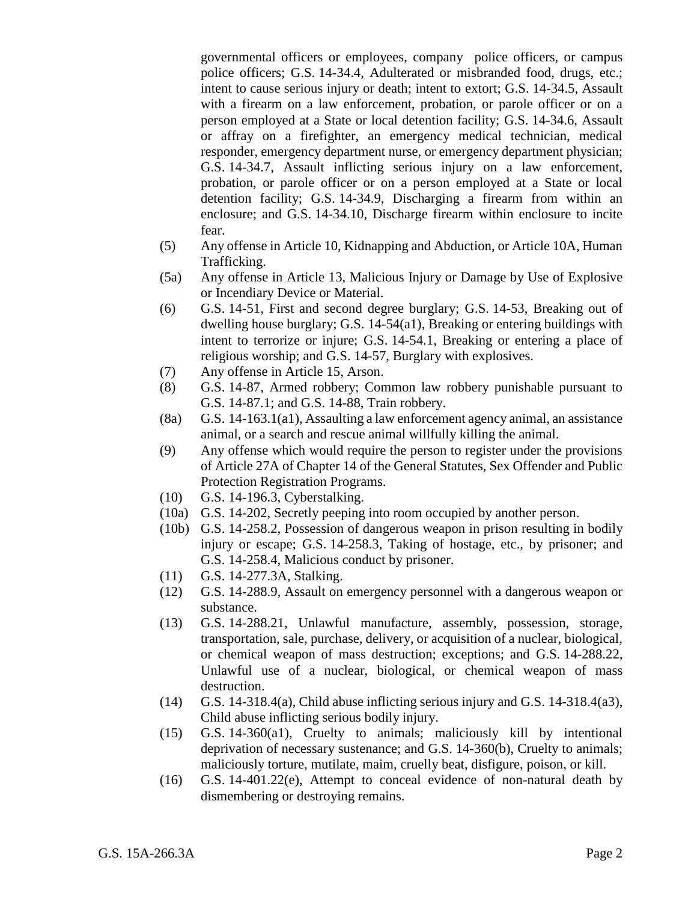governmental officers or employees, company police officers, or campus police officers; G.S. 14-34.4, Adulterated or misbranded food, drugs, etc.; intent to cause serious injury or death; intent to extort; G.S. 14-34.5, Assault with a firearm on a law enforcement, probation, or parole officer or on a person employed at a State or local detention facility; G.S. 14-34.6, Assault or affray on a firefighter, an emergency medical technician, medical responder, emergency department nurse, or emergency department physician; G.S. 14-34.7, Assault inflicting serious injury on a law enforcement, probation, or parole officer or on a person employed at a State or local detention facility; G.S. 14-34.9, Discharging a firearm from within an enclosure; and G.S. 14-34.10, Discharge firearm within enclosure to incite fear.

- (5) Any offense in Article 10, Kidnapping and Abduction, or Article 10A, Human Trafficking.
- (5a) Any offense in Article 13, Malicious Injury or Damage by Use of Explosive or Incendiary Device or Material.
- (6) G.S. 14-51, First and second degree burglary; G.S. 14-53, Breaking out of dwelling house burglary; G.S. 14-54(a1), Breaking or entering buildings with intent to terrorize or injure; G.S. 14-54.1, Breaking or entering a place of religious worship; and G.S. 14-57, Burglary with explosives.
- (7) Any offense in Article 15, Arson.
- (8) G.S. 14-87, Armed robbery; Common law robbery punishable pursuant to G.S. 14-87.1; and G.S. 14-88, Train robbery.
- (8a) G.S. 14-163.1(a1), Assaulting a law enforcement agency animal, an assistance animal, or a search and rescue animal willfully killing the animal.
- (9) Any offense which would require the person to register under the provisions of Article 27A of Chapter 14 of the General Statutes, Sex Offender and Public Protection Registration Programs.
- (10) G.S. 14-196.3, Cyberstalking.
- (10a) G.S. 14-202, Secretly peeping into room occupied by another person.
- (10b) G.S. 14-258.2, Possession of dangerous weapon in prison resulting in bodily injury or escape; G.S. 14-258.3, Taking of hostage, etc., by prisoner; and G.S. 14-258.4, Malicious conduct by prisoner.
- (11) G.S. 14-277.3A, Stalking.
- (12) G.S. 14-288.9, Assault on emergency personnel with a dangerous weapon or substance.
- (13) G.S. 14-288.21, Unlawful manufacture, assembly, possession, storage, transportation, sale, purchase, delivery, or acquisition of a nuclear, biological, or chemical weapon of mass destruction; exceptions; and G.S. 14-288.22, Unlawful use of a nuclear, biological, or chemical weapon of mass destruction.
- (14) G.S. 14-318.4(a), Child abuse inflicting serious injury and G.S. 14-318.4(a3), Child abuse inflicting serious bodily injury.
- (15) G.S. 14-360(a1), Cruelty to animals; maliciously kill by intentional deprivation of necessary sustenance; and G.S. 14-360(b), Cruelty to animals; maliciously torture, mutilate, maim, cruelly beat, disfigure, poison, or kill.
- (16) G.S. 14-401.22(e), Attempt to conceal evidence of non-natural death by dismembering or destroying remains.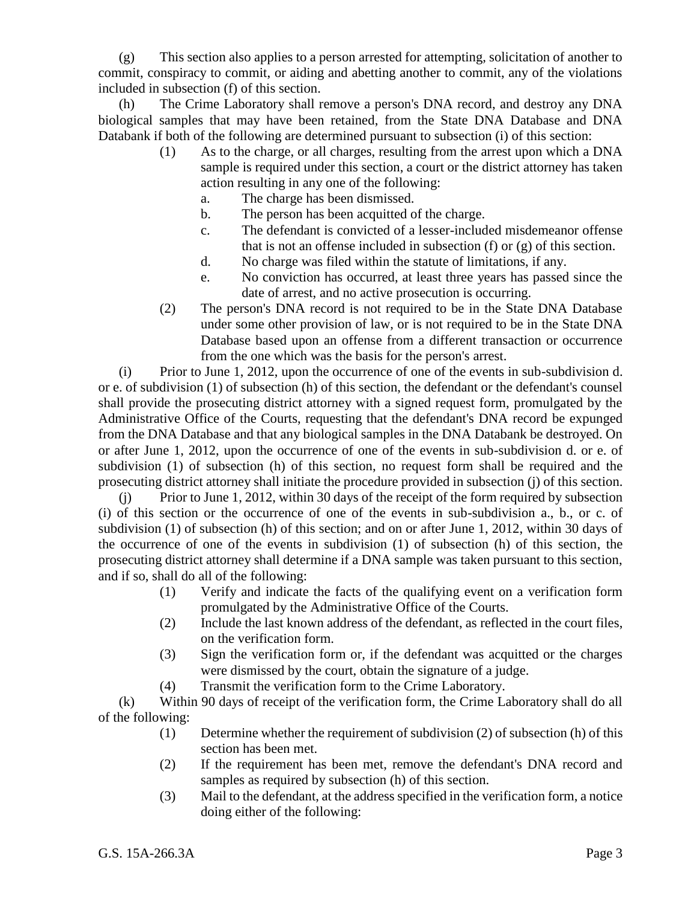(g) This section also applies to a person arrested for attempting, solicitation of another to commit, conspiracy to commit, or aiding and abetting another to commit, any of the violations included in subsection (f) of this section.

(h) The Crime Laboratory shall remove a person's DNA record, and destroy any DNA biological samples that may have been retained, from the State DNA Database and DNA Databank if both of the following are determined pursuant to subsection (i) of this section:

- (1) As to the charge, or all charges, resulting from the arrest upon which a DNA sample is required under this section, a court or the district attorney has taken action resulting in any one of the following:
	- a. The charge has been dismissed.
	- b. The person has been acquitted of the charge.
	- c. The defendant is convicted of a lesser-included misdemeanor offense that is not an offense included in subsection (f) or (g) of this section.
	- d. No charge was filed within the statute of limitations, if any.
	- e. No conviction has occurred, at least three years has passed since the date of arrest, and no active prosecution is occurring.
- (2) The person's DNA record is not required to be in the State DNA Database under some other provision of law, or is not required to be in the State DNA Database based upon an offense from a different transaction or occurrence from the one which was the basis for the person's arrest.

(i) Prior to June 1, 2012, upon the occurrence of one of the events in sub-subdivision d. or e. of subdivision (1) of subsection (h) of this section, the defendant or the defendant's counsel shall provide the prosecuting district attorney with a signed request form, promulgated by the Administrative Office of the Courts, requesting that the defendant's DNA record be expunged from the DNA Database and that any biological samples in the DNA Databank be destroyed. On or after June 1, 2012, upon the occurrence of one of the events in sub-subdivision d. or e. of subdivision (1) of subsection (h) of this section, no request form shall be required and the prosecuting district attorney shall initiate the procedure provided in subsection (j) of this section.

(j) Prior to June 1, 2012, within 30 days of the receipt of the form required by subsection (i) of this section or the occurrence of one of the events in sub-subdivision a., b., or c. of subdivision (1) of subsection (h) of this section; and on or after June 1, 2012, within 30 days of the occurrence of one of the events in subdivision (1) of subsection (h) of this section, the prosecuting district attorney shall determine if a DNA sample was taken pursuant to this section, and if so, shall do all of the following:

- (1) Verify and indicate the facts of the qualifying event on a verification form promulgated by the Administrative Office of the Courts.
- (2) Include the last known address of the defendant, as reflected in the court files, on the verification form.
- (3) Sign the verification form or, if the defendant was acquitted or the charges were dismissed by the court, obtain the signature of a judge.
- (4) Transmit the verification form to the Crime Laboratory.

(k) Within 90 days of receipt of the verification form, the Crime Laboratory shall do all of the following:

- (1) Determine whether the requirement of subdivision (2) of subsection (h) of this section has been met.
- (2) If the requirement has been met, remove the defendant's DNA record and samples as required by subsection (h) of this section.
- (3) Mail to the defendant, at the address specified in the verification form, a notice doing either of the following: